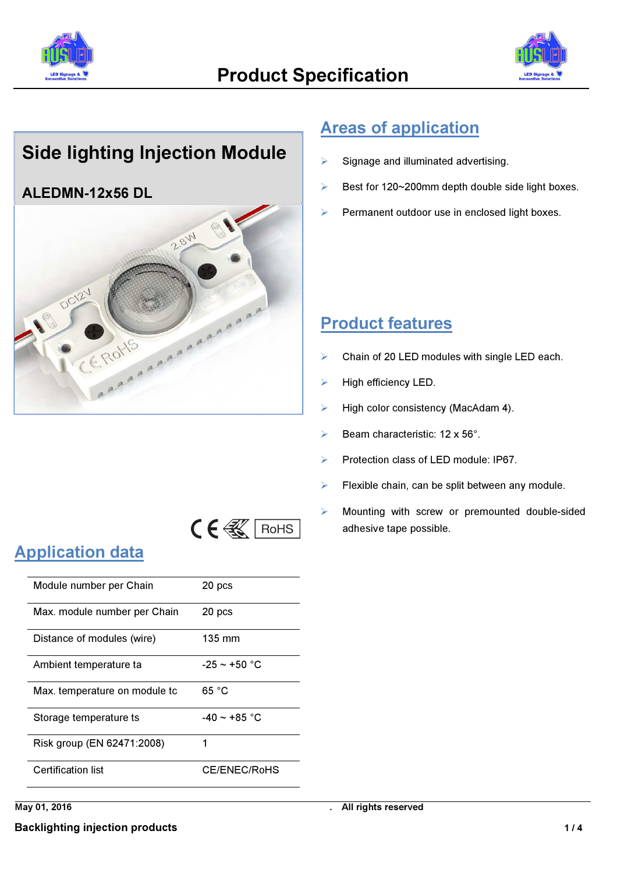



## Side lighting Injection Module

#### ALEDMN-12x56 DL



#### Areas of application

- Signage and illuminated advertising.
- $\triangleright$  Best for 120~200mm depth double side light boxes.
- Permanent outdoor use in enclosed light boxes.

#### Product features

- $\triangleright$  Chain of 20 LED modules with single LED each.
- $\blacktriangleright$  High efficiency LED.
- $\triangleright$  High color consistency (MacAdam 4).
- Beam characteristic:  $12 \times 56^\circ$ .
- Protection class of LED module: IP67.
- $\triangleright$  Flexible chain, can be split between any module.
- Mounting with screw or premounted double-sided adhesive tape possible.

# $C \in \mathbb{R}$  RoHS

### Application data

| Module number per Chain       | 20 pcs            |
|-------------------------------|-------------------|
| Max. module number per Chain  | 20 pcs            |
| Distance of modules (wire)    | 135 mm            |
| Ambient temperature ta        | -25 $\sim$ +50 °C |
| Max. temperature on module to | 65 °C             |
| Storage temperature ts        | $-40 \sim +85$ °C |
| Risk group (EN 62471:2008)    | 1                 |
| <b>Certification list</b>     | CE/ENEC/RoHS      |

May 01, 2016 **May 01, 2016 .** All rights reserved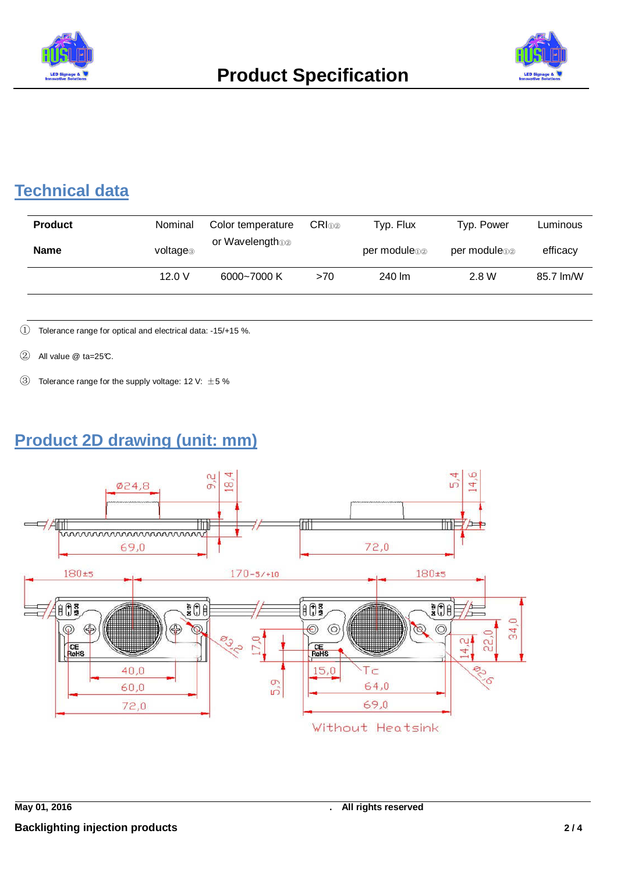



### **Technical data**

| <b>Product</b> | Nominal              | Color temperature | $CRI$ <sub>①②</sub> | Typ. Flux       | Typ. Power      | Luminous  |
|----------------|----------------------|-------------------|---------------------|-----------------|-----------------|-----------|
| <b>Name</b>    | voltage <sub>®</sub> | or Wavelengtho@   |                     | per module to a | per module to a | efficacy  |
|                | 12.0V                | 6000~7000 K       | >70                 | 240 lm          | 2.8 W           | 85.7 lm/W |

① Tolerance range for optical and electrical data: -15/+15 %.

- $\textcircled{2}$  All value  $\textcircled{2}$  ta=25°C.
- $\circled{3}$  Tolerance range for the supply voltage: 12 V:  $\pm$  5 %

### **Product 2D drawing (unit: mm)**

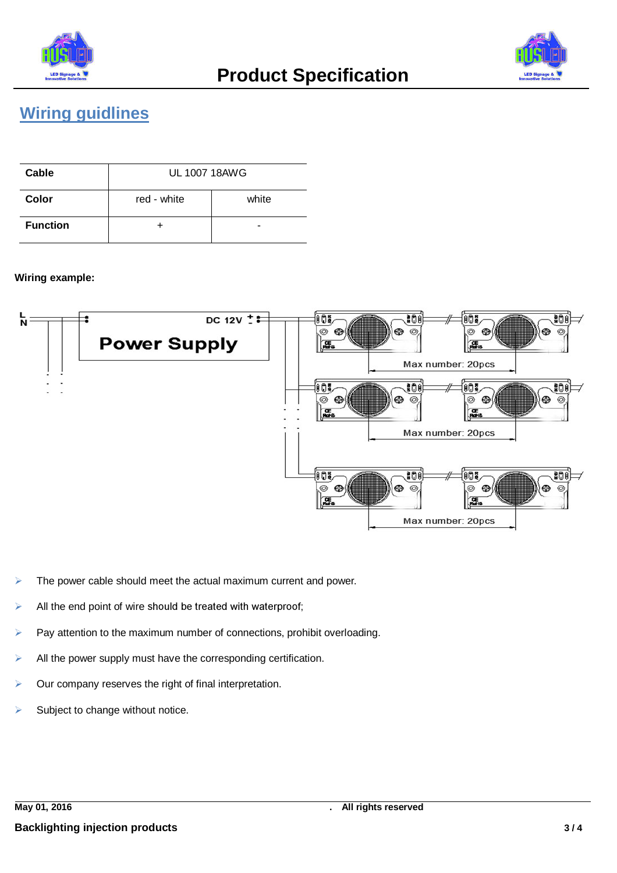



#### **Wiring guidlines**

| Cable           | <b>UL 1007 18AWG</b> |       |  |  |
|-----------------|----------------------|-------|--|--|
| Color           | red - white          | white |  |  |
| <b>Function</b> |                      | -     |  |  |

#### **Wiring example:**



- The power cable should meet the actual maximum current and power.
- All the end point of wire should be treated with waterproof;
- Pay attention to the maximum number of connections, prohibit overloading.
- $\blacktriangleright$  All the power supply must have the corresponding certification.
- Our company reserves the right of final interpretation.
- Subject to change without notice.